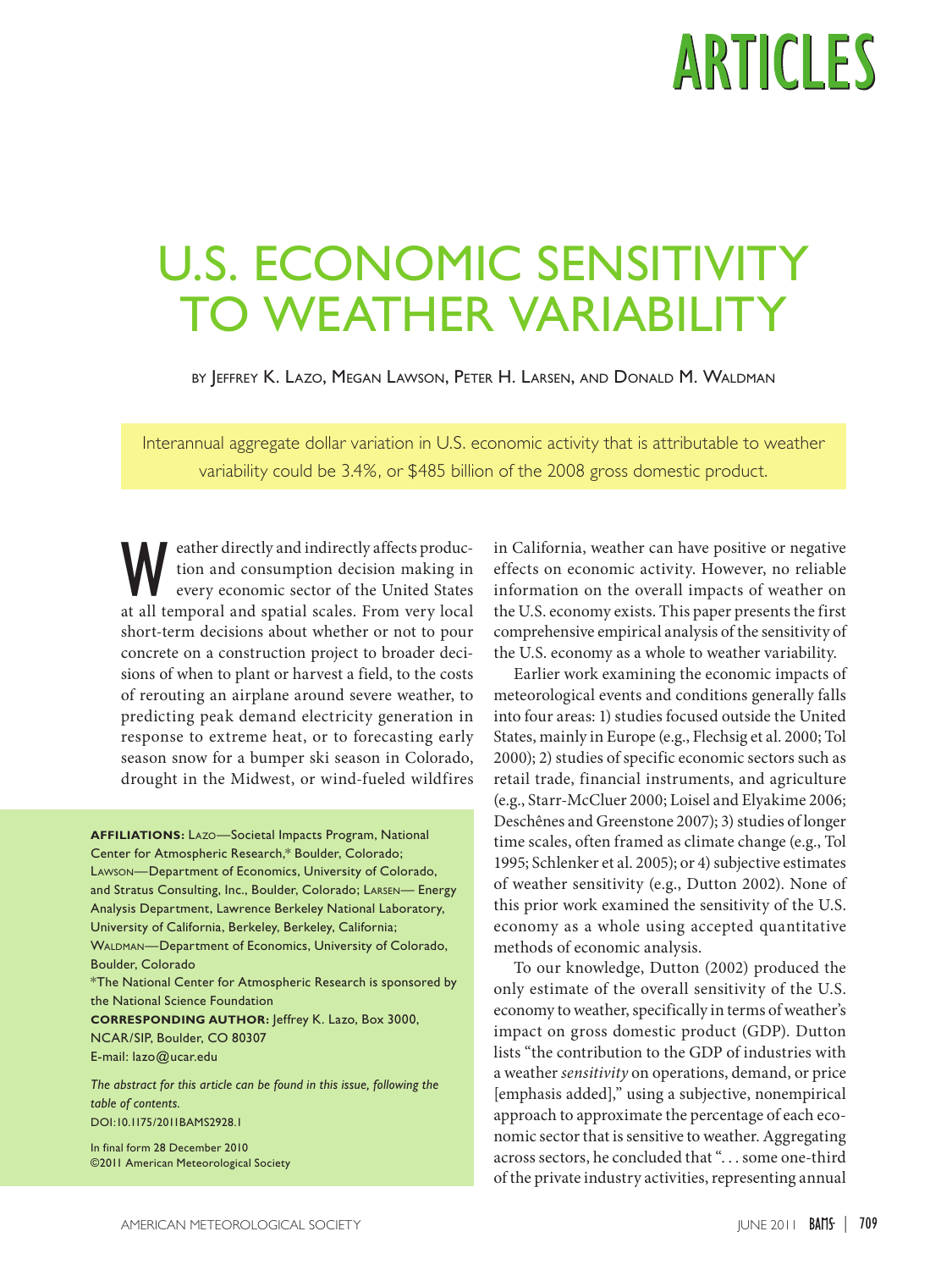# ARTICLES

# U.S. ECONOMIC SENSITIVITY TO WEATHER VARIABILITY

by Jeffrey K. Lazo, Megan Lawson, Peter H. Larsen, and Donald M. Waldman

Interannual aggregate dollar variation in U.S. economic activity that is attributable to weather variability could be 3.4%, or \$485 billion of the 2008 gross domestic product.

eather directly and indirectly affects production and consumption decision making in every economic sector of the United States at all temporal and spatial scales. From very local short-term decisions about whether or not to pour concrete on a construction project to broader decisions of when to plant or harvest a field, to the costs of rerouting an airplane around severe weather, to predicting peak demand electricity generation in response to extreme heat, or to forecasting early season snow for a bumper ski season in Colorado, drought in the Midwest, or wind-fueled wildfires

**affiliations:** Lazo—Societal Impacts Program, National Center for Atmospheric Research,\* Boulder, Colorado; Lawson—Department of Economics, University of Colorado, and Stratus Consulting, Inc., Boulder, Colorado; Larsen— Energy Analysis Department, Lawrence Berkeley National Laboratory, University of California, Berkeley, Berkeley, California; WALDMAN—Department of Economics, University of Colorado, Boulder, Colorado \*The National Center for Atmospheric Research is sponsored by the National Science Foundation **CORRESPONDING AUTHOR:** Jeffrey K. Lazo, Box 3000, NCAR/SIP, Boulder, CO 80307 E-mail: [lazo@ucar.edu](mailto:lazo@ucar.edu) *The abstract for this article can be found in this issue, following the table of contents.*

[DOI:10.1175/2011BAMS2928.1](http://dx.doi.org/10.1175/2011BAMS2928.1)

In final form 28 December 2010 ©2011 American Meteorological Society

in California, weather can have positive or negative effects on economic activity. However, no reliable information on the overall impacts of weather on the U.S. economy exists. This paper presents the first comprehensive empirical analysis of the sensitivity of the U.S. economy as a whole to weather variability.

Earlier work examining the economic impacts of meteorological events and conditions generally falls into four areas: 1) studies focused outside the United States, mainly in Europe (e.g., Flechsig et al. 2000; Tol 2000); 2) studies of specific economic sectors such as retail trade, financial instruments, and agriculture (e.g., Starr-McCluer 2000; Loisel and Elyakime 2006; Deschênes and Greenstone 2007); 3) studies of longer time scales, often framed as climate change (e.g., Tol 1995; Schlenker et al. 2005); or 4) subjective estimates of weather sensitivity (e.g., Dutton 2002). None of this prior work examined the sensitivity of the U.S. economy as a whole using accepted quantitative methods of economic analysis.

To our knowledge, Dutton (2002) produced the only estimate of the overall sensitivity of the U.S. economy to weather, specifically in terms of weather's impact on gross domestic product (GDP). Dutton lists "the contribution to the GDP of industries with a weather *sensitivity* on operations, demand, or price [emphasis added]," using a subjective, nonempirical approach to approximate the percentage of each economic sector that is sensitive to weather. Aggregating across sectors, he concluded that ". . . some one-third of the private industry activities, representing annual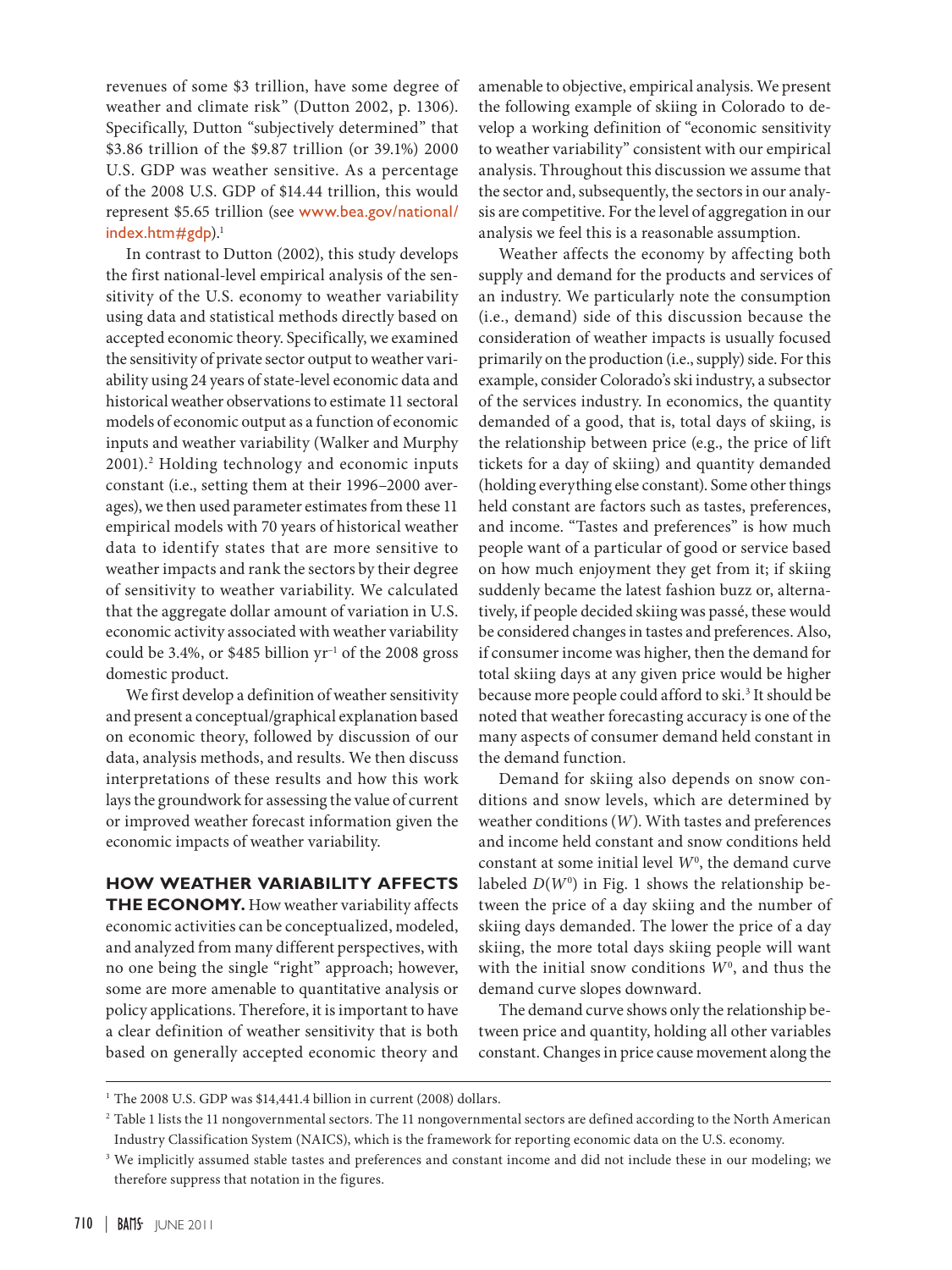revenues of some \$3 trillion, have some degree of weather and climate risk" (Dutton 2002, p. 1306). Specifically, Dutton "subjectively determined" that \$3.86 trillion of the \$9.87 trillion (or 39.1%) 2000 U.S. GDP was weather sensitive. As a percentage of the 2008 U.S. GDP of \$14.44 trillion, this would represent \$5.65 trillion (see [www.bea.gov/national/](http://www.bea.gov/national/index.htm#gdp)  $index.htm#gdp$ <sup>1</sup>

In contrast to Dutton (2002), this study develops the first national-level empirical analysis of the sensitivity of the U.S. economy to weather variability using data and statistical methods directly based on accepted economic theory. Specifically, we examined the sensitivity of private sector output to weather variability using 24 years of state-level economic data and historical weather observations to estimate 11 sectoral models of economic output as a function of economic inputs and weather variability (Walker and Murphy 2001).2 Holding technology and economic inputs constant (i.e., setting them at their 1996–2000 averages), we then used parameter estimates from these 11 empirical models with 70 years of historical weather data to identify states that are more sensitive to weather impacts and rank the sectors by their degree of sensitivity to weather variability. We calculated that the aggregate dollar amount of variation in U.S. economic activity associated with weather variability could be 3.4%, or \$485 billion  $yr^{-1}$  of the 2008 gross domestic product.

We first develop a definition of weather sensitivity and present a conceptual/graphical explanation based on economic theory, followed by discussion of our data, analysis methods, and results. We then discuss interpretations of these results and how this work lays the groundwork for assessing the value of current or improved weather forecast information given the economic impacts of weather variability.

#### **HOW WEATHER VARIABILITY AFFECTS**

**THE ECONOMY.** How weather variability affects economic activities can be conceptualized, modeled, and analyzed from many different perspectives, with no one being the single "right" approach; however, some are more amenable to quantitative analysis or policy applications. Therefore, it is important to have a clear definition of weather sensitivity that is both based on generally accepted economic theory and

amenable to objective, empirical analysis. We present the following example of skiing in Colorado to develop a working definition of "economic sensitivity to weather variability" consistent with our empirical analysis. Throughout this discussion we assume that the sector and, subsequently, the sectors in our analysis are competitive. For the level of aggregation in our analysis we feel this is a reasonable assumption.

Weather affects the economy by affecting both supply and demand for the products and services of an industry. We particularly note the consumption (i.e., demand) side of this discussion because the consideration of weather impacts is usually focused primarily on the production (i.e., supply) side. For this example, consider Colorado's ski industry, a subsector of the services industry. In economics, the quantity demanded of a good, that is, total days of skiing, is the relationship between price (e.g., the price of lift tickets for a day of skiing) and quantity demanded (holding everything else constant). Some other things held constant are factors such as tastes, preferences, and income. "Tastes and preferences" is how much people want of a particular of good or service based on how much enjoyment they get from it; if skiing suddenly became the latest fashion buzz or, alternatively, if people decided skiing was passé, these would be considered changes in tastes and preferences. Also, if consumer income was higher, then the demand for total skiing days at any given price would be higher because more people could afford to ski.<sup>3</sup> It should be noted that weather forecasting accuracy is one of the many aspects of consumer demand held constant in the demand function.

Demand for skiing also depends on snow conditions and snow levels, which are determined by weather conditions (*W*). With tastes and preferences and income held constant and snow conditions held constant at some initial level  $W<sup>0</sup>$ , the demand curve labeled *D*(*W*<sup>0</sup> ) in Fig. 1 shows the relationship between the price of a day skiing and the number of skiing days demanded. The lower the price of a day skiing, the more total days skiing people will want with the initial snow conditions *W*<sup>0</sup> , and thus the demand curve slopes downward.

The demand curve shows only the relationship between price and quantity, holding all other variables constant. Changes in price cause movement along the

<sup>&</sup>lt;sup>1</sup> The 2008 U.S. GDP was \$14,441.4 billion in current (2008) dollars.

<sup>&</sup>lt;sup>2</sup> Table 1 lists the 11 nongovernmental sectors. The 11 nongovernmental sectors are defined according to the North American Industry Classification System (NAICS), which is the framework for reporting economic data on the U.S. economy.

<sup>&</sup>lt;sup>3</sup> We implicitly assumed stable tastes and preferences and constant income and did not include these in our modeling; we therefore suppress that notation in the figures.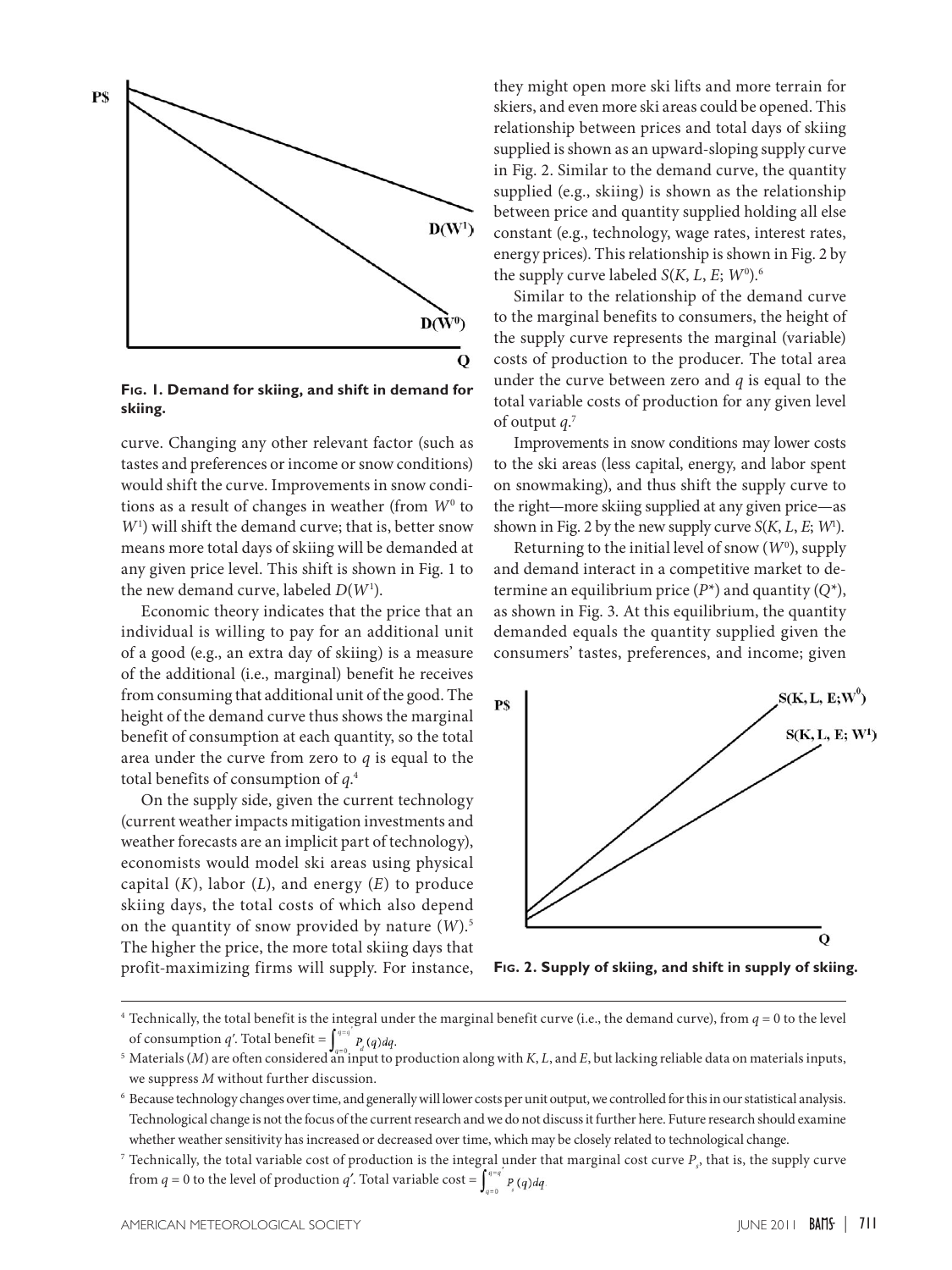

**Fig. 1. Demand for skiing, and shift in demand for skiing.**

curve. Changing any other relevant factor (such as tastes and preferences or income or snow conditions) would shift the curve. Improvements in snow conditions as a result of changes in weather (from *W*<sup>0</sup> to *W*<sup>1</sup> ) will shift the demand curve; that is, better snow means more total days of skiing will be demanded at any given price level. This shift is shown in Fig. 1 to the new demand curve, labeled *D*(*W*<sup>1</sup> ).

Economic theory indicates that the price that an individual is willing to pay for an additional unit of a good (e.g., an extra day of skiing) is a measure of the additional (i.e., marginal) benefit he receives from consuming that additional unit of the good. The height of the demand curve thus shows the marginal benefit of consumption at each quantity, so the total area under the curve from zero to *q* is equal to the total benefits of consumption of *q*. 4

On the supply side, given the current technology (current weather impacts mitigation investments and weather forecasts are an implicit part of technology), economists would model ski areas using physical capital (*K*), labor (*L*), and energy (*E*) to produce skiing days, the total costs of which also depend on the quantity of snow provided by nature (*W*).5 The higher the price, the more total skiing days that profit-maximizing firms will supply. For instance,

they might open more ski lifts and more terrain for skiers, and even more ski areas could be opened. This relationship between prices and total days of skiing supplied is shown as an upward-sloping supply curve in Fig. 2. Similar to the demand curve, the quantity supplied (e.g., skiing) is shown as the relationship between price and quantity supplied holding all else constant (e.g., technology, wage rates, interest rates, energy prices). This relationship is shown in Fig. 2 by the supply curve labeled *S*(*K*, *L*, *E*; *W*<sup>0</sup> ).6

Similar to the relationship of the demand curve to the marginal benefits to consumers, the height of the supply curve represents the marginal (variable) costs of production to the producer. The total area under the curve between zero and *q* is equal to the total variable costs of production for any given level of output *q*. 7

Improvements in snow conditions may lower costs to the ski areas (less capital, energy, and labor spent on snowmaking), and thus shift the supply curve to the right—more skiing supplied at any given price—as shown in Fig. 2 by the new supply curve *S*(*K*, *L*, *E*; *W*<sup>1</sup> ).

Returning to the initial level of snow  $(W<sup>0</sup>)$ , supply and demand interact in a competitive market to determine an equilibrium price (*P*\*) and quantity (*Q*\*), as shown in Fig. 3. At this equilibrium, the quantity demanded equals the quantity supplied given the consumers' tastes, preferences, and income; given



**Fig. 2. Supply of skiing, and shift in supply of skiing.**

<sup>&</sup>lt;sup>4</sup> Technically, the total benefit is the integral under the marginal benefit curve (i.e., the demand curve), from  $q = 0$  to the level of consumption *q'*. Total benefit =  $\int_{a=0}^{q=q} P_a(q) dq$ .

<sup>5</sup> Materials (*M*) are often considered an input to production along with *K*, *L*, and *E*, but lacking reliable data on materials inputs, we suppress *M* without further discussion.

<sup>6</sup> Because technology changes over time, and generally will lower costs per unit output, we controlled for this in our statistical analysis. Technological change is not the focus of the current research and we do not discuss it further here. Future research should examine whether weather sensitivity has increased or decreased over time, which may be closely related to technological change.

<sup>&</sup>lt;sup>7</sup> Technically, the total variable cost of production is the integral under that marginal cost curve  $P_s$ , that is, the supply curve from  $q = 0$  to the level of production *q'*. Total variable cost =  $\int_{a=0}^{q=q'} P_{q}(q) dq$ .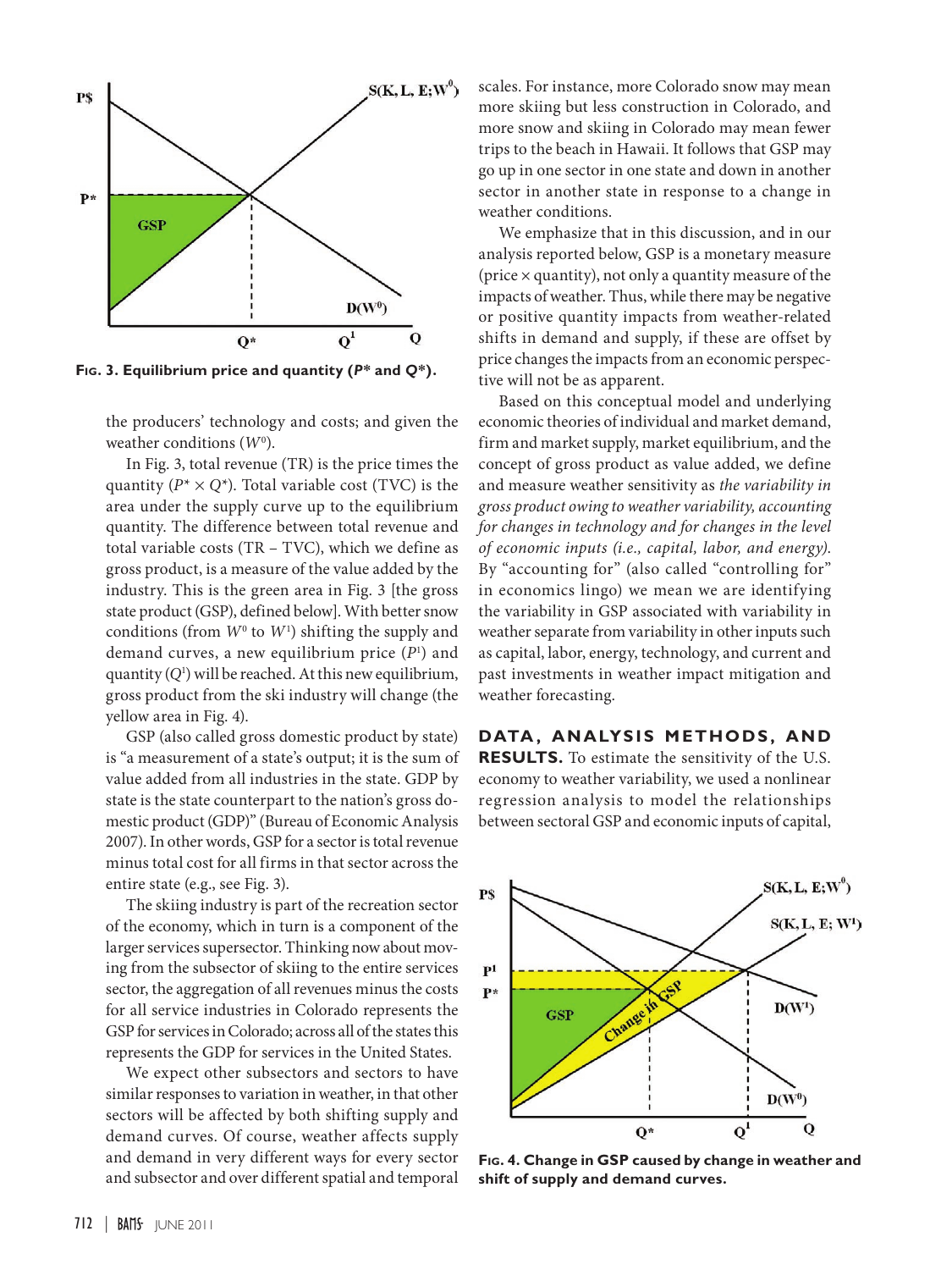

**Fig. 3. Equilibrium price and quantity (***P***\* and** *Q***\*).**

the producers' technology and costs; and given the weather conditions (W<sup>0</sup>).

In Fig. 3, total revenue (TR) is the price times the quantity ( $P^* \times Q^*$ ). Total variable cost (TVC) is the area under the supply curve up to the equilibrium quantity. The difference between total revenue and total variable costs (TR – TVC), which we define as gross product, is a measure of the value added by the industry. This is the green area in Fig. 3 [the gross state product (GSP), defined below]. With better snow conditions (from  $W^0$  to  $W^1$ ) shifting the supply and demand curves, a new equilibrium price (*P*<sup>1</sup> ) and quantity (*Q*<sup>1</sup> ) will be reached. At this new equilibrium, gross product from the ski industry will change (the yellow area in Fig. 4).

GSP (also called gross domestic product by state) is "a measurement of a state's output; it is the sum of value added from all industries in the state. GDP by state is the state counterpart to the nation's gross domestic product (GDP)" (Bureau of Economic Analysis 2007). In other words, GSP for a sector is total revenue minus total cost for all firms in that sector across the entire state (e.g., see Fig. 3).

The skiing industry is part of the recreation sector of the economy, which in turn is a component of the larger services supersector. Thinking now about moving from the subsector of skiing to the entire services sector, the aggregation of all revenues minus the costs for all service industries in Colorado represents the GSP for services in Colorado; across all of the states this represents the GDP for services in the United States.

We expect other subsectors and sectors to have similar responses to variation in weather, in that other sectors will be affected by both shifting supply and demand curves. Of course, weather affects supply and demand in very different ways for every sector and subsector and over different spatial and temporal

scales. For instance, more Colorado snow may mean more skiing but less construction in Colorado, and more snow and skiing in Colorado may mean fewer trips to the beach in Hawaii. It follows that GSP may go up in one sector in one state and down in another sector in another state in response to a change in weather conditions.

We emphasize that in this discussion, and in our analysis reported below, GSP is a monetary measure (price  $\times$  quantity), not only a quantity measure of the impacts of weather. Thus, while there may be negative or positive quantity impacts from weather-related shifts in demand and supply, if these are offset by price changes the impacts from an economic perspective will not be as apparent.

Based on this conceptual model and underlying economic theories of individual and market demand, firm and market supply, market equilibrium, and the concept of gross product as value added, we define and measure weather sensitivity as *the variability in gross product owing to weather variability, accounting for changes in technology and for changes in the level of economic inputs (i.e., capital, labor, and energy)*. By "accounting for" (also called "controlling for" in economics lingo) we mean we are identifying the variability in GSP associated with variability in weather separate from variability in other inputs such as capital, labor, energy, technology, and current and past investments in weather impact mitigation and weather forecasting.

#### **DATA , ANALYSIS M ETHODS, AND**

**RESULTS.** To estimate the sensitivity of the U.S. economy to weather variability, we used a nonlinear regression analysis to model the relationships between sectoral GSP and economic inputs of capital,



**Fig. 4. Change in GSP caused by change in weather and shift of supply and demand curves.**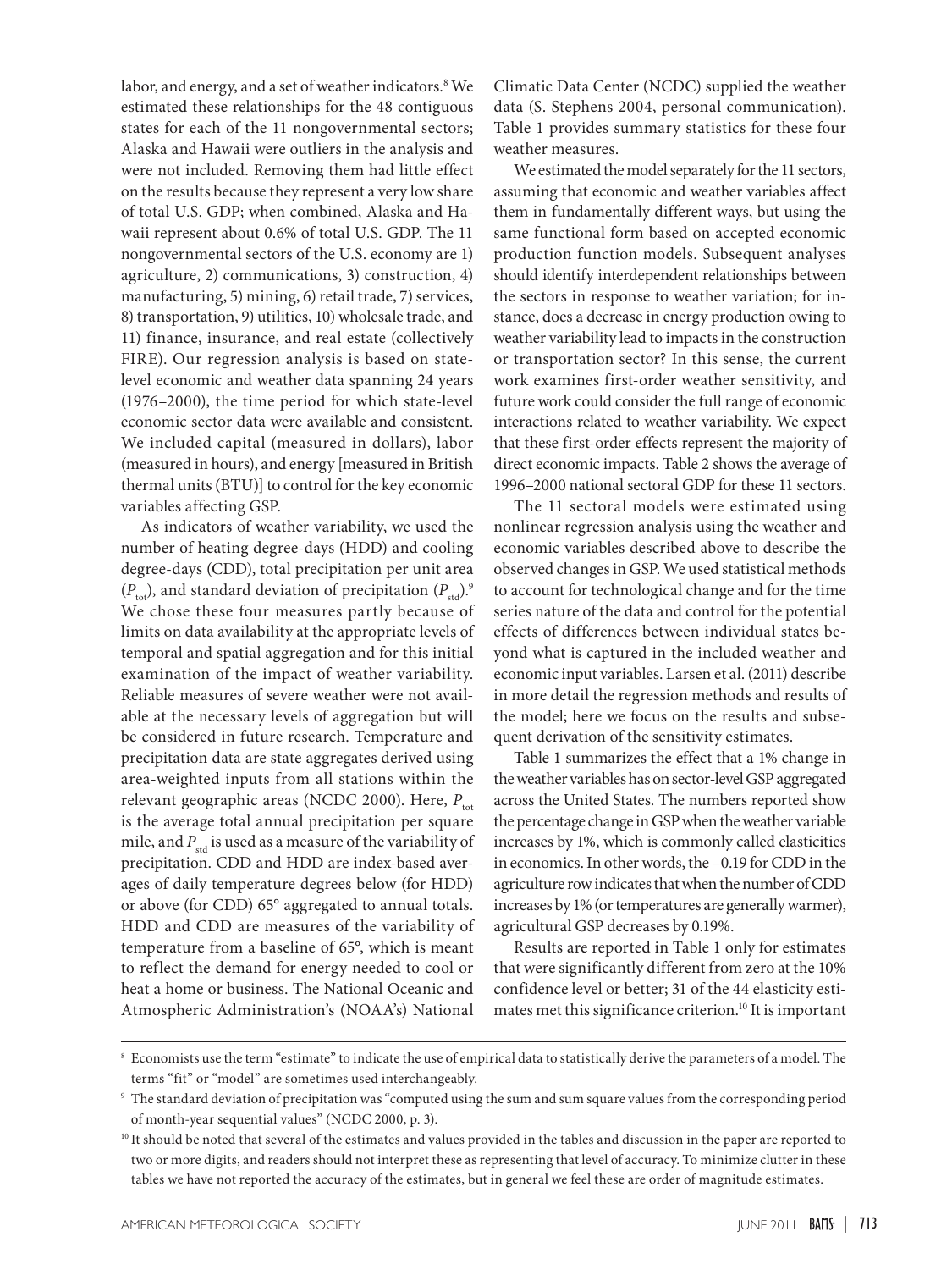labor, and energy, and a set of weather indicators.<sup>8</sup> We estimated these relationships for the 48 contiguous states for each of the 11 nongovernmental sectors; Alaska and Hawaii were outliers in the analysis and were not included. Removing them had little effect on the results because they represent a very low share of total U.S. GDP; when combined, Alaska and Hawaii represent about 0.6% of total U.S. GDP. The 11 nongovernmental sectors of the U.S. economy are 1) agriculture, 2) communications, 3) construction, 4) manufacturing, 5) mining, 6) retail trade, 7) services, 8) transportation, 9) utilities, 10) wholesale trade, and 11) finance, insurance, and real estate (collectively FIRE). Our regression analysis is based on statelevel economic and weather data spanning 24 years (1976–2000), the time period for which state-level economic sector data were available and consistent. We included capital (measured in dollars), labor (measured in hours), and energy [measured in British thermal units (BTU)] to control for the key economic variables affecting GSP.

As indicators of weather variability, we used the number of heating degree-days (HDD) and cooling degree-days (CDD), total precipitation per unit area  $(P_{\text{tot}})$ , and standard deviation of precipitation  $(P_{\text{tot}})$ .<sup>9</sup> We chose these four measures partly because of limits on data availability at the appropriate levels of temporal and spatial aggregation and for this initial examination of the impact of weather variability. Reliable measures of severe weather were not available at the necessary levels of aggregation but will be considered in future research. Temperature and precipitation data are state aggregates derived using area-weighted inputs from all stations within the relevant geographic areas (NCDC 2000). Here, *P*<sub>tot</sub> is the average total annual precipitation per square mile, and  $P_{\text{std}}$  is used as a measure of the variability of precipitation. CDD and HDD are index-based averages of daily temperature degrees below (for HDD) or above (for CDD) 65° aggregated to annual totals. HDD and CDD are measures of the variability of temperature from a baseline of 65°, which is meant to reflect the demand for energy needed to cool or heat a home or business. The National Oceanic and Atmospheric Administration's (NOAA's) National

Climatic Data Center (NCDC) supplied the weather data (S. Stephens 2004, personal communication). Table 1 provides summary statistics for these four weather measures.

We estimated the model separately for the 11 sectors, assuming that economic and weather variables affect them in fundamentally different ways, but using the same functional form based on accepted economic production function models. Subsequent analyses should identify interdependent relationships between the sectors in response to weather variation; for instance, does a decrease in energy production owing to weather variability lead to impacts in the construction or transportation sector? In this sense, the current work examines first-order weather sensitivity, and future work could consider the full range of economic interactions related to weather variability. We expect that these first-order effects represent the majority of direct economic impacts. Table 2 shows the average of 1996–2000 national sectoral GDP for these 11 sectors.

The 11 sectoral models were estimated using nonlinear regression analysis using the weather and economic variables described above to describe the observed changes in GSP. We used statistical methods to account for technological change and for the time series nature of the data and control for the potential effects of differences between individual states beyond what is captured in the included weather and economic input variables. Larsen et al. (2011) describe in more detail the regression methods and results of the model; here we focus on the results and subsequent derivation of the sensitivity estimates.

Table 1 summarizes the effect that a 1% change in the weather variables has on sector-level GSP aggregated across the United States. The numbers reported show the percentage change in GSP when the weather variable increases by 1%, which is commonly called elasticities in economics. In other words, the –0.19 for CDD in the agriculture row indicates that when the number of CDD increases by 1% (or temperatures are generally warmer), agricultural GSP decreases by 0.19%.

Results are reported in Table 1 only for estimates that were significantly different from zero at the 10% confidence level or better; 31 of the 44 elasticity estimates met this significance criterion.<sup>10</sup> It is important

<sup>8</sup> Economists use the term "estimate" to indicate the use of empirical data to statistically derive the parameters of a model. The terms "fit" or "model" are sometimes used interchangeably.

<sup>9</sup> The standard deviation of precipitation was "computed using the sum and sum square values from the corresponding period of month-year sequential values" (NCDC 2000, p. 3).

<sup>&</sup>lt;sup>10</sup> It should be noted that several of the estimates and values provided in the tables and discussion in the paper are reported to two or more digits, and readers should not interpret these as representing that level of accuracy. To minimize clutter in these tables we have not reported the accuracy of the estimates, but in general we feel these are order of magnitude estimates.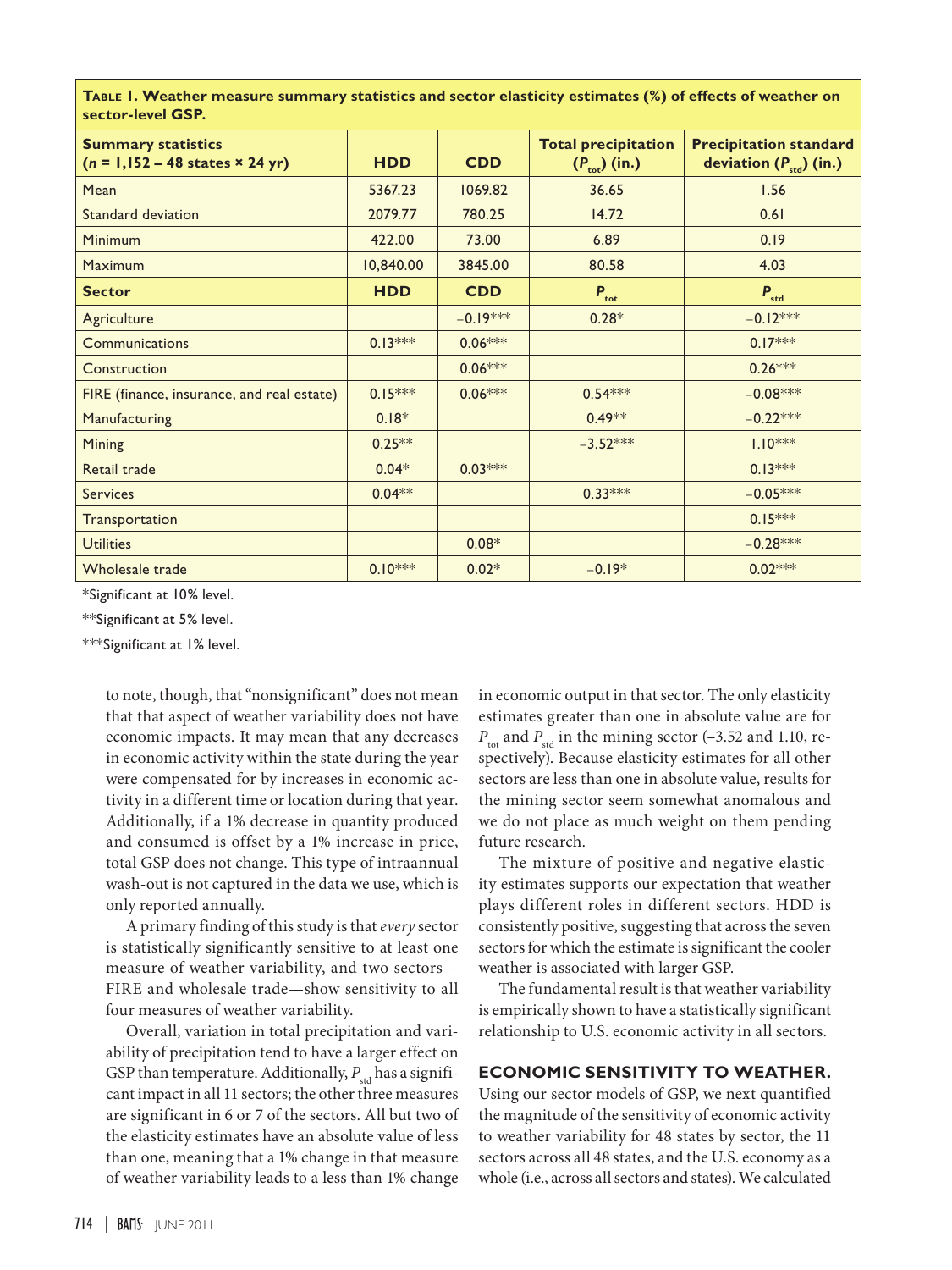| SCLLUI TEVEL UST.                                                                   |            |            |                                                     |                                                              |
|-------------------------------------------------------------------------------------|------------|------------|-----------------------------------------------------|--------------------------------------------------------------|
| <b>Summary statistics</b><br>$(n = 1,152 - 48 \text{ states} \times 24 \text{ yr})$ | <b>HDD</b> | <b>CDD</b> | <b>Total precipitation</b><br>$(P_{\rm tot})$ (in.) | <b>Precipitation standard</b><br>deviation $(P_{std})$ (in.) |
| Mean                                                                                | 5367.23    | 1069.82    | 36.65                                               | 1.56                                                         |
| Standard deviation                                                                  | 2079.77    | 780.25     | 14.72                                               | 0.61                                                         |
| <b>Minimum</b>                                                                      | 422.00     | 73.00      | 6.89                                                | 0.19                                                         |
| <b>Maximum</b>                                                                      | 10,840.00  | 3845.00    | 80.58                                               | 4.03                                                         |
| <b>Sector</b>                                                                       | <b>HDD</b> | <b>CDD</b> | $P_{\underline{\text{tot}}}$                        | $P_{std}$                                                    |
| Agriculture                                                                         |            | $-0.19***$ | $0.28*$                                             | $-0.12***$                                                   |
| Communications                                                                      | $0.13***$  | $0.06***$  |                                                     | $0.17***$                                                    |
| Construction                                                                        |            | $0.06***$  |                                                     | $0.26***$                                                    |
| FIRE (finance, insurance, and real estate)                                          | $0.15***$  | $0.06***$  | $0.54***$                                           | $-0.08***$                                                   |
| Manufacturing                                                                       | $0.18*$    |            | $0.49**$                                            | $-0.22***$                                                   |
| Mining                                                                              | $0.25***$  |            | $-3.52***$                                          | $1.10***$                                                    |
| Retail trade                                                                        | $0.04*$    | $0.03***$  |                                                     | $0.13***$                                                    |
| <b>Services</b>                                                                     | $0.04***$  |            | $0.33***$                                           | $-0.05***$                                                   |
| Transportation                                                                      |            |            |                                                     | $0.15***$                                                    |
| <b>Utilities</b>                                                                    |            | $0.08*$    |                                                     | $-0.28***$                                                   |
| Wholesale trade                                                                     | $0.10***$  | $0.02*$    | $-0.19*$                                            | $0.02***$                                                    |

**Table 1. Weather measure summary statistics and sector elasticity estimates (%) of effects of weather on sector-level GSP.**

\*Significant at 10% level.

\*\*Significant at 5% level.

\*\*\*Significant at 1% level.

to note, though, that "nonsignificant" does not mean that that aspect of weather variability does not have economic impacts. It may mean that any decreases in economic activity within the state during the year were compensated for by increases in economic activity in a different time or location during that year. Additionally, if a 1% decrease in quantity produced and consumed is offset by a 1% increase in price, total GSP does not change. This type of intraannual wash-out is not captured in the data we use, which is only reported annually.

A primary finding of this study is that *every* sector is statistically significantly sensitive to at least one measure of weather variability, and two sectors— FIRE and wholesale trade—show sensitivity to all four measures of weather variability.

Overall, variation in total precipitation and variability of precipitation tend to have a larger effect on GSP than temperature. Additionally,  $P_{\text{std}}$  has a significant impact in all 11 sectors; the other three measures are significant in 6 or 7 of the sectors. All but two of the elasticity estimates have an absolute value of less than one, meaning that a 1% change in that measure of weather variability leads to a less than 1% change

in economic output in that sector. The only elasticity estimates greater than one in absolute value are for  $P_{\text{tot}}$  and  $P_{\text{std}}$  in the mining sector (–3.52 and 1.10, respectively). Because elasticity estimates for all other sectors are less than one in absolute value, results for the mining sector seem somewhat anomalous and we do not place as much weight on them pending future research.

The mixture of positive and negative elasticity estimates supports our expectation that weather plays different roles in different sectors. HDD is consistently positive, suggesting that across the seven sectors for which the estimate is significant the cooler weather is associated with larger GSP.

The fundamental result is that weather variability is empirically shown to have a statistically significant relationship to U.S. economic activity in all sectors.

### **ECONOMIC SENSITIVITY TO WEATHER.**

Using our sector models of GSP, we next quantified the magnitude of the sensitivity of economic activity to weather variability for 48 states by sector, the 11 sectors across all 48 states, and the U.S. economy as a whole (i.e., across all sectors and states). We calculated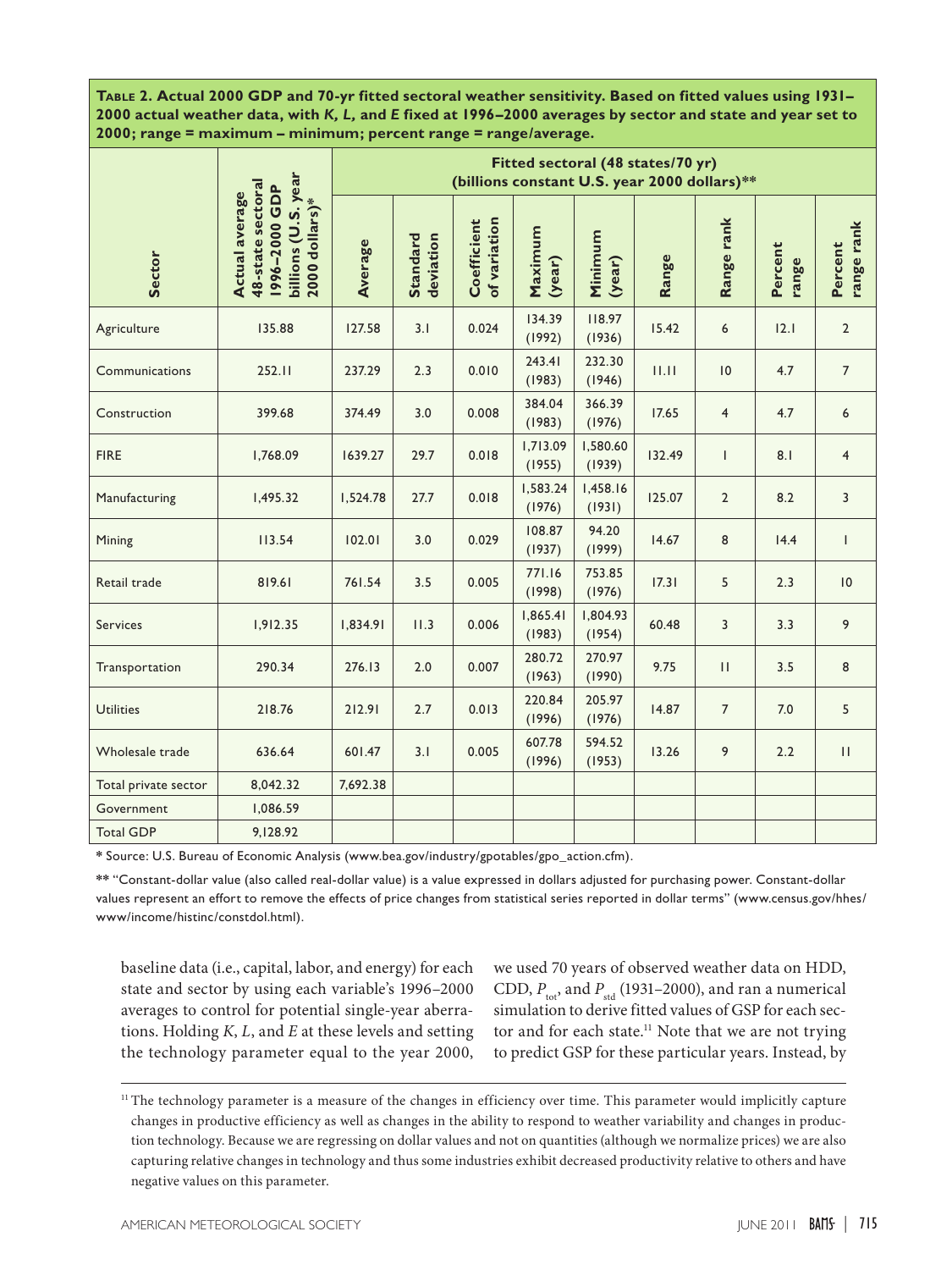**Table 2. Actual 2000 GDP and 70-yr fitted sectoral weather sensitivity. Based on fitted values using 1931– 2000 actual weather data, with** *K, L,* **and** *E* **fixed at 1996–2000 averages by sector and state and year set to 2000; range = maximum – minimum; percent range = range/average.**

|                      |                                                                                                        | Fitted sectoral (48 states/70 yr)<br>(billions constant U.S. year 2000 dollars)** |                       |                             |                    |                    |        |                |                  |                       |
|----------------------|--------------------------------------------------------------------------------------------------------|-----------------------------------------------------------------------------------|-----------------------|-----------------------------|--------------------|--------------------|--------|----------------|------------------|-----------------------|
| <b>Sector</b>        | billions (U.S. year<br>48-state sectoral<br>1996-2000 GDP<br><b>Actual average</b><br>$2000$ dollars)* | Average                                                                           | deviation<br>Standard | of variation<br>Coefficient | Maximum<br>(year)  | Minimum<br>(year)  | Range  | Range rank     | Percent<br>range | range rank<br>Percent |
| Agriculture          | 135.88                                                                                                 | 127.58                                                                            | 3.1                   | 0.024                       | 134.39<br>(1992)   | 118.97<br>(1936)   | 15.42  | 6              | 12.1             | $\overline{2}$        |
| Communications       | 252.11                                                                                                 | 237.29                                                                            | 2.3                   | 0.010                       | 243.41<br>(1983)   | 232.30<br>(1946)   | II.H   | 10             | 4.7              | $\overline{7}$        |
| Construction         | 399.68                                                                                                 | 374.49                                                                            | 3.0                   | 0.008                       | 384.04<br>(1983)   | 366.39<br>(1976)   | 17.65  | $\overline{4}$ | 4.7              | 6                     |
| <b>FIRE</b>          | 1,768.09                                                                                               | 1639.27                                                                           | 29.7                  | 0.018                       | 1,713.09<br>(1955) | 1.580.60<br>(1939) | 132.49 | $\mathsf{I}$   | 8.1              | $\overline{4}$        |
| Manufacturing        | 1,495.32                                                                                               | 1,524.78                                                                          | 27.7                  | 0.018                       | 1,583.24<br>(1976) | 1,458.16<br>(1931) | 125.07 | $\overline{2}$ | 8.2              | 3                     |
| Mining               | 113.54                                                                                                 | 102.01                                                                            | 3.0                   | 0.029                       | 108.87<br>(1937)   | 94.20<br>(1999)    | 14.67  | 8              | 14.4             | $\mathbf{I}$          |
| Retail trade         | 819.61                                                                                                 | 761.54                                                                            | 3.5                   | 0.005                       | 771.16<br>(1998)   | 753.85<br>(1976)   | 17.31  | 5              | 2.3              | 10                    |
| Services             | 1,912.35                                                                                               | 1,834.91                                                                          | II.3                  | 0.006                       | 1,865.41<br>(1983) | 1,804.93<br>(1954) | 60.48  | 3              | 3.3              | 9                     |
| Transportation       | 290.34                                                                                                 | 276.13                                                                            | 2.0                   | 0.007                       | 280.72<br>(1963)   | 270.97<br>(1990)   | 9.75   | $\mathbf{H}$   | 3.5              | 8                     |
| Utilities            | 218.76                                                                                                 | 212.91                                                                            | 2.7                   | 0.013                       | 220.84<br>(1996)   | 205.97<br>(1976)   | 14.87  | $\overline{7}$ | 7.0              | 5                     |
| Wholesale trade      | 636.64                                                                                                 | 601.47                                                                            | 3.1                   | 0.005                       | 607.78<br>(1996)   | 594.52<br>(1953)   | 13.26  | 9              | 2.2              | $\mathbf{H}$          |
| Total private sector | 8,042.32                                                                                               | 7,692.38                                                                          |                       |                             |                    |                    |        |                |                  |                       |
| Government           | 1,086.59                                                                                               |                                                                                   |                       |                             |                    |                    |        |                |                  |                       |
| <b>Total GDP</b>     | 9,128.92                                                                                               |                                                                                   |                       |                             |                    |                    |        |                |                  |                       |

**\*** Source: U.S. Bureau of Economic Analysis ([www.bea.gov/industry/gpotables/gpo\\_action.cfm](http://www.bea.gov/industry/gpotables/gpo_action.cfm)).

**\*\*** "Constant-dollar value (also called real-dollar value) is a value expressed in dollars adjusted for purchasing power. Constant-dollar values represent an effort to remove the effects of price changes from statistical series reported in dollar terms" ([www.census.gov/hhes/](http://www.census.gov/hhes/www/income/histinc/constdol.html) [www/income/histinc/constdol.html](http://www.census.gov/hhes/www/income/histinc/constdol.html)).

baseline data (i.e., capital, labor, and energy) for each state and sector by using each variable's 1996–2000 averages to control for potential single-year aberrations. Holding *K*, *L*, and *E* at these levels and setting the technology parameter equal to the year 2000,

we used 70 years of observed weather data on HDD, CDD,  $P_{tot}$  and  $P_{std}$  (1931–2000), and ran a numerical simulation to derive fitted values of GSP for each sector and for each state.<sup>11</sup> Note that we are not trying to predict GSP for these particular years. Instead, by

<sup>&</sup>lt;sup>11</sup> The technology parameter is a measure of the changes in efficiency over time. This parameter would implicitly capture changes in productive efficiency as well as changes in the ability to respond to weather variability and changes in production technology. Because we are regressing on dollar values and not on quantities (although we normalize prices) we are also capturing relative changes in technology and thus some industries exhibit decreased productivity relative to others and have negative values on this parameter.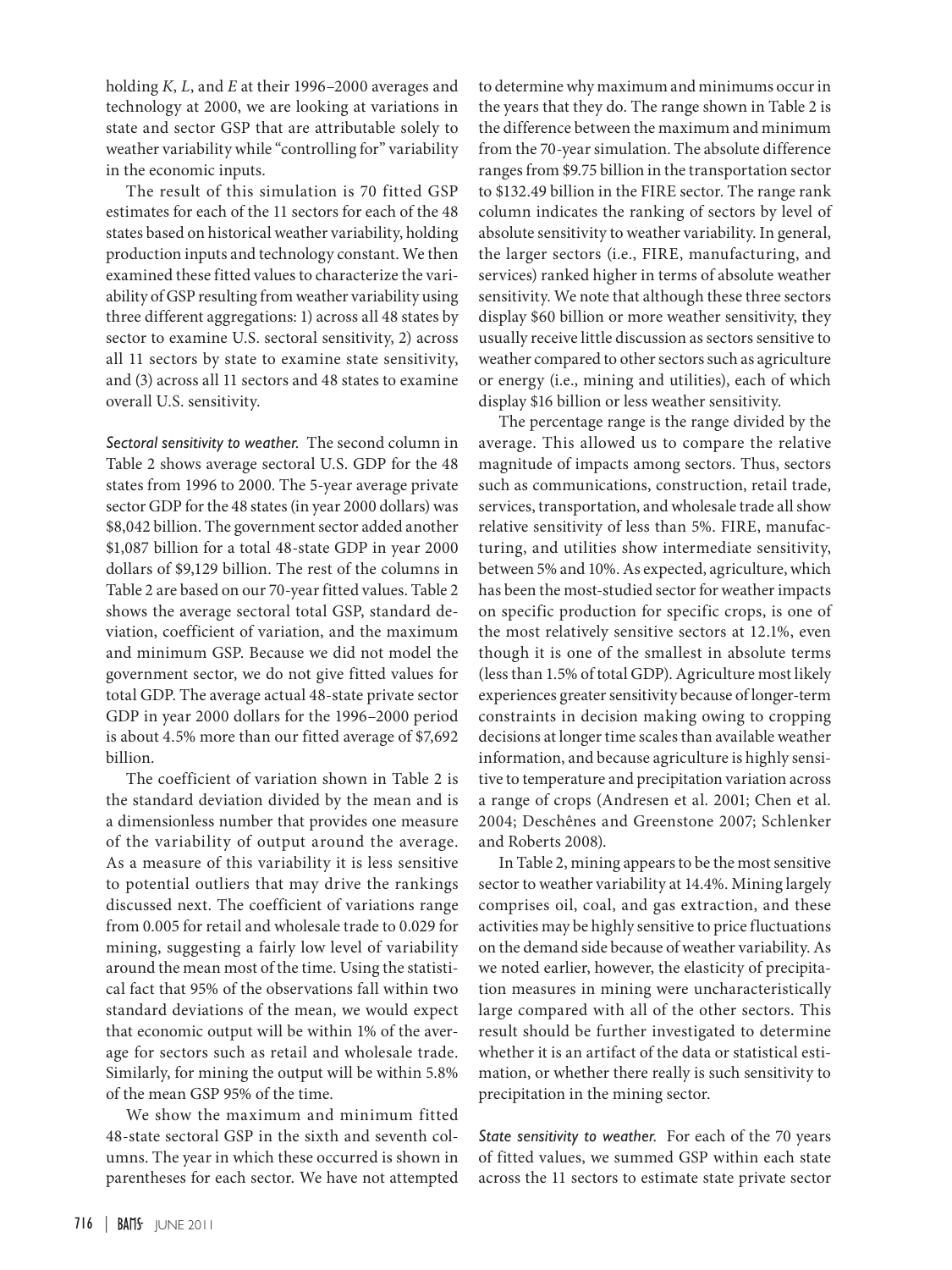holding *K*, *L*, and *E* at their 1996–2000 averages and technology at 2000, we are looking at variations in state and sector GSP that are attributable solely to weather variability while "controlling for" variability in the economic inputs.

The result of this simulation is 70 fitted GSP estimates for each of the 11 sectors for each of the 48 states based on historical weather variability, holding production inputs and technology constant. We then examined these fitted values to characterize the variability of GSP resulting from weather variability using three different aggregations: 1) across all 48 states by sector to examine U.S. sectoral sensitivity, 2) across all 11 sectors by state to examine state sensitivity, and (3) across all 11 sectors and 48 states to examine overall U.S. sensitivity.

*Sectoral sensitivity to weather.* The second column in Table 2 shows average sectoral U.S. GDP for the 48 states from 1996 to 2000. The 5-year average private sector GDP for the 48 states (in year 2000 dollars) was \$8,042 billion. The government sector added another \$1,087 billion for a total 48-state GDP in year 2000 dollars of \$9,129 billion. The rest of the columns in Table 2 are based on our 70-year fitted values. Table 2 shows the average sectoral total GSP, standard deviation, coefficient of variation, and the maximum and minimum GSP. Because we did not model the government sector, we do not give fitted values for total GDP. The average actual 48-state private sector GDP in year 2000 dollars for the 1996–2000 period is about 4.5% more than our fitted average of \$7,692 billion.

The coefficient of variation shown in Table 2 is the standard deviation divided by the mean and is a dimensionless number that provides one measure of the variability of output around the average. As a measure of this variability it is less sensitive to potential outliers that may drive the rankings discussed next. The coefficient of variations range from 0.005 for retail and wholesale trade to 0.029 for mining, suggesting a fairly low level of variability around the mean most of the time. Using the statistical fact that 95% of the observations fall within two standard deviations of the mean, we would expect that economic output will be within 1% of the average for sectors such as retail and wholesale trade. Similarly, for mining the output will be within 5.8% of the mean GSP 95% of the time.

We show the maximum and minimum fitted 48-state sectoral GSP in the sixth and seventh columns. The year in which these occurred is shown in parentheses for each sector. We have not attempted

to determine why maximum and minimums occur in the years that they do. The range shown in Table 2 is the difference between the maximum and minimum from the 70-year simulation. The absolute difference ranges from \$9.75 billion in the transportation sector to \$132.49 billion in the FIRE sector. The range rank column indicates the ranking of sectors by level of absolute sensitivity to weather variability. In general, the larger sectors (i.e., FIRE, manufacturing, and services) ranked higher in terms of absolute weather sensitivity. We note that although these three sectors display \$60 billion or more weather sensitivity, they usually receive little discussion as sectors sensitive to weather compared to other sectors such as agriculture or energy (i.e., mining and utilities), each of which display \$16 billion or less weather sensitivity.

The percentage range is the range divided by the average. This allowed us to compare the relative magnitude of impacts among sectors. Thus, sectors such as communications, construction, retail trade, services, transportation, and wholesale trade all show relative sensitivity of less than 5%. FIRE, manufacturing, and utilities show intermediate sensitivity, between 5% and 10%. As expected, agriculture, which has been the most-studied sector for weather impacts on specific production for specific crops, is one of the most relatively sensitive sectors at 12.1%, even though it is one of the smallest in absolute terms (less than 1.5% of total GDP). Agriculture most likely experiences greater sensitivity because of longer-term constraints in decision making owing to cropping decisions at longer time scales than available weather information, and because agriculture is highly sensitive to temperature and precipitation variation across a range of crops (Andresen et al. 2001; Chen et al. 2004; Deschênes and Greenstone 2007; Schlenker and Roberts 2008).

In Table 2, mining appears to be the most sensitive sector to weather variability at 14.4%. Mining largely comprises oil, coal, and gas extraction, and these activities may be highly sensitive to price fluctuations on the demand side because of weather variability. As we noted earlier, however, the elasticity of precipitation measures in mining were uncharacteristically large compared with all of the other sectors. This result should be further investigated to determine whether it is an artifact of the data or statistical estimation, or whether there really is such sensitivity to precipitation in the mining sector.

*State sensitivity to weather.* For each of the 70 years of fitted values, we summed GSP within each state across the 11 sectors to estimate state private sector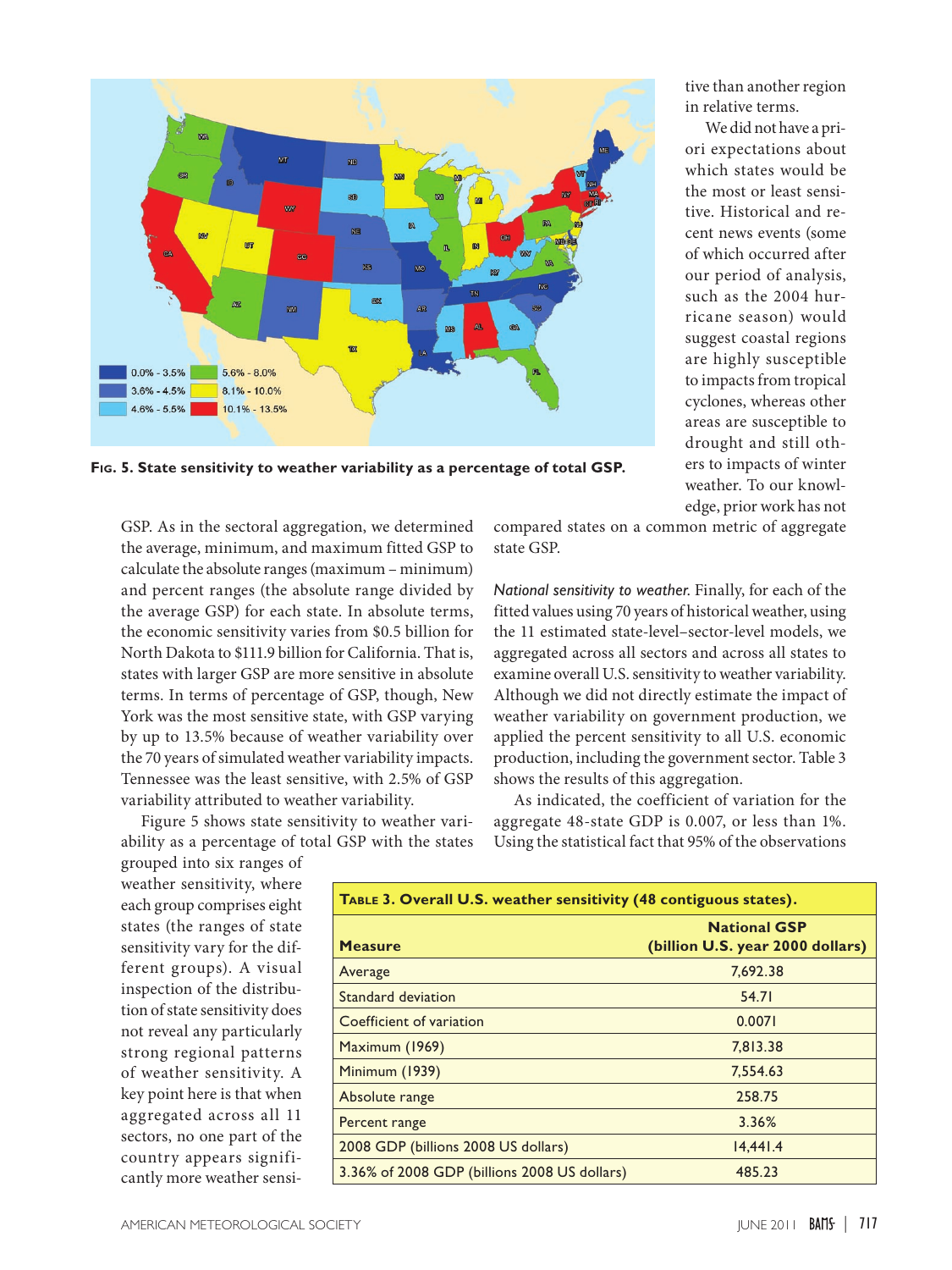

**Fig. 5. State sensitivity to weather variability as a percentage of total GSP.**

tive than another region in relative terms.

We did not have a priori expectations about which states would be the most or least sensitive. Historical and recent news events (some of which occurred after our period of analysis, such as the 2004 hurricane season) would suggest coastal regions are highly susceptible to impacts from tropical cyclones, whereas other areas are susceptible to drought and still others to impacts of winter weather. To our knowledge, prior work has not

GSP. As in the sectoral aggregation, we determined the average, minimum, and maximum fitted GSP to calculate the absolute ranges (maximum – minimum) and percent ranges (the absolute range divided by the average GSP) for each state. In absolute terms, the economic sensitivity varies from \$0.5 billion for North Dakota to \$111.9 billion for California. That is, states with larger GSP are more sensitive in absolute terms. In terms of percentage of GSP, though, New York was the most sensitive state, with GSP varying by up to 13.5% because of weather variability over the 70 years of simulated weather variability impacts. Tennessee was the least sensitive, with 2.5% of GSP variability attributed to weather variability.

Figure 5 shows state sensitivity to weather variability as a percentage of total GSP with the states

compared states on a common metric of aggregate state GSP.

*National sensitivity to weather.* Finally, for each of the fitted values using 70 years of historical weather, using the 11 estimated state-level–sector-level models, we aggregated across all sectors and across all states to examine overall U.S. sensitivity to weather variability. Although we did not directly estimate the impact of weather variability on government production, we applied the percent sensitivity to all U.S. economic production, including the government sector. Table 3 shows the results of this aggregation.

As indicated, the coefficient of variation for the aggregate 48-state GDP is 0.007, or less than 1%. Using the statistical fact that 95% of the observations

grouped into six ranges of weather sensitivity, where each group comprises eight states (the ranges of state sensitivity vary for the different groups). A visual inspection of the distribution of state sensitivity does not reveal any particularly strong regional patterns of weather sensitivity. A key point here is that when aggregated across all 11 sectors, no one part of the country appears significantly more weather sensi-

| TABLE 3. Overall U.S. weather sensitivity (48 contiguous states). |                                                         |  |  |  |  |
|-------------------------------------------------------------------|---------------------------------------------------------|--|--|--|--|
| <b>Measure</b>                                                    | <b>National GSP</b><br>(billion U.S. year 2000 dollars) |  |  |  |  |
| Average                                                           | 7.692.38                                                |  |  |  |  |
| Standard deviation                                                | 54.71                                                   |  |  |  |  |
| Coefficient of variation                                          | 0.0071                                                  |  |  |  |  |
| Maximum (1969)                                                    | 7,813.38                                                |  |  |  |  |
| Minimum (1939)                                                    | 7.554.63                                                |  |  |  |  |
| Absolute range                                                    | 258.75                                                  |  |  |  |  |
| Percent range                                                     | 3.36%                                                   |  |  |  |  |
| 2008 GDP (billions 2008 US dollars)                               | 14,441.4                                                |  |  |  |  |
| 3.36% of 2008 GDP (billions 2008 US dollars)                      | 485.23                                                  |  |  |  |  |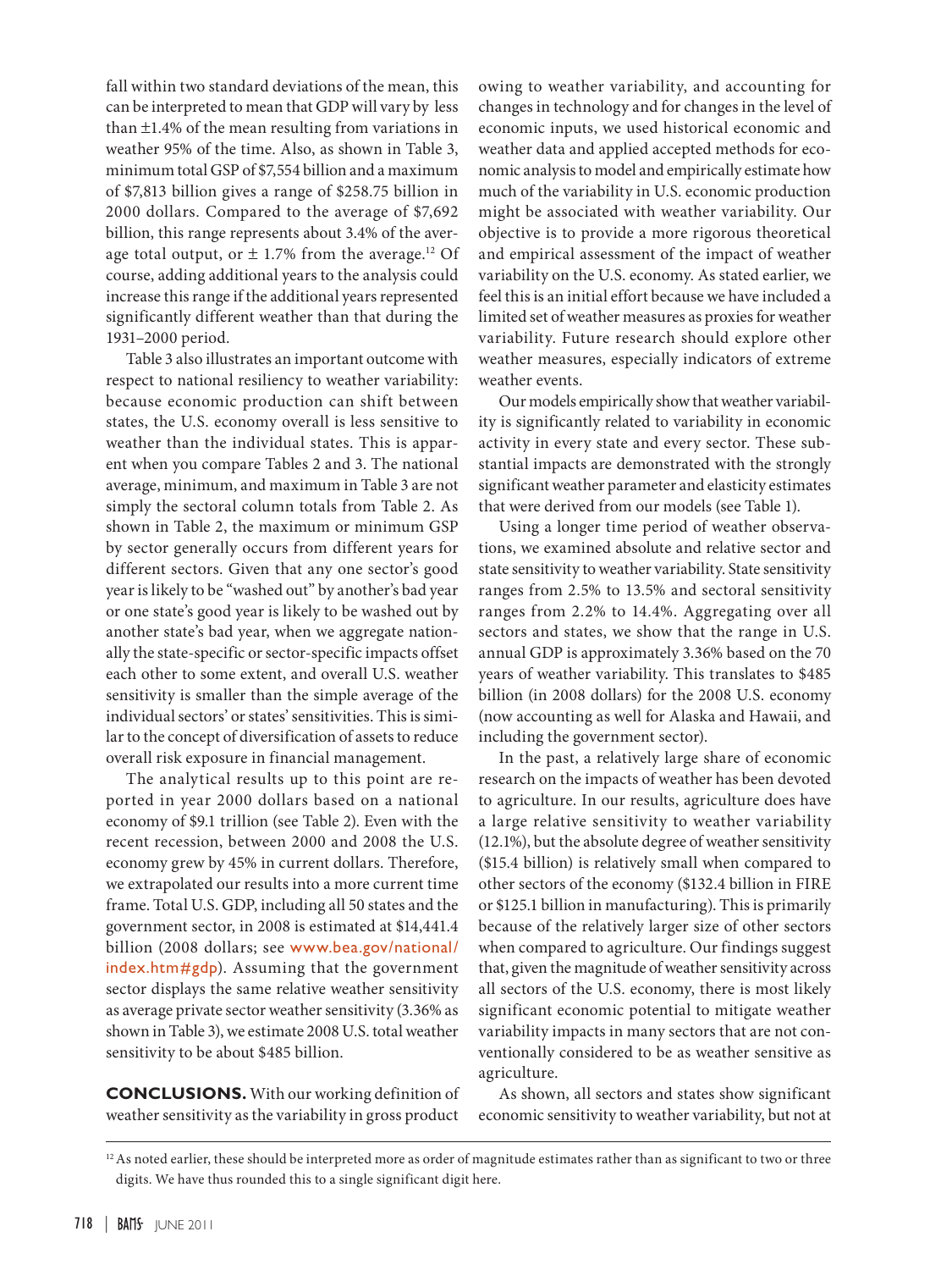fall within two standard deviations of the mean, this can be interpreted to mean that GDP will vary by less than ±1.4% of the mean resulting from variations in weather 95% of the time. Also, as shown in Table 3, minimum total GSP of \$7,554 billion and a maximum of \$7,813 billion gives a range of \$258.75 billion in 2000 dollars. Compared to the average of \$7,692 billion, this range represents about 3.4% of the average total output, or  $\pm$  1.7% from the average.<sup>12</sup> Of course, adding additional years to the analysis could increase this range if the additional years represented significantly different weather than that during the 1931–2000 period.

Table 3 also illustrates an important outcome with respect to national resiliency to weather variability: because economic production can shift between states, the U.S. economy overall is less sensitive to weather than the individual states. This is apparent when you compare Tables 2 and 3. The national average, minimum, and maximum in Table 3 are not simply the sectoral column totals from Table 2. As shown in Table 2, the maximum or minimum GSP by sector generally occurs from different years for different sectors. Given that any one sector's good year is likely to be "washed out" by another's bad year or one state's good year is likely to be washed out by another state's bad year, when we aggregate nationally the state-specific or sector-specific impacts offset each other to some extent, and overall U.S. weather sensitivity is smaller than the simple average of the individual sectors' or states' sensitivities. This is similar to the concept of diversification of assets to reduce overall risk exposure in financial management.

The analytical results up to this point are reported in year 2000 dollars based on a national economy of \$9.1 trillion (see Table 2). Even with the recent recession, between 2000 and 2008 the U.S. economy grew by 45% in current dollars. Therefore, we extrapolated our results into a more current time frame. Total U.S. GDP, including all 50 states and the government sector, in 2008 is estimated at \$14,441.4 billion (2008 dollars; see [www.bea.gov/national/](http://www.bea.gov/national/index.htm#gdp) [index.htm#gdp](http://www.bea.gov/national/index.htm#gdp)). Assuming that the government sector displays the same relative weather sensitivity as average private sector weather sensitivity (3.36% as shown in Table 3), we estimate 2008 U.S. total weather sensitivity to be about \$485 billion.

**CONCLUSIONS.** With our working definition of weather sensitivity as the variability in gross product owing to weather variability, and accounting for changes in technology and for changes in the level of economic inputs, we used historical economic and weather data and applied accepted methods for economic analysis to model and empirically estimate how much of the variability in U.S. economic production might be associated with weather variability. Our objective is to provide a more rigorous theoretical and empirical assessment of the impact of weather variability on the U.S. economy. As stated earlier, we feel this is an initial effort because we have included a limited set of weather measures as proxies for weather variability. Future research should explore other weather measures, especially indicators of extreme weather events.

Our models empirically show that weather variability is significantly related to variability in economic activity in every state and every sector. These substantial impacts are demonstrated with the strongly significant weather parameter and elasticity estimates that were derived from our models (see Table 1).

Using a longer time period of weather observations, we examined absolute and relative sector and state sensitivity to weather variability. State sensitivity ranges from 2.5% to 13.5% and sectoral sensitivity ranges from 2.2% to 14.4%. Aggregating over all sectors and states, we show that the range in U.S. annual GDP is approximately 3.36% based on the 70 years of weather variability. This translates to \$485 billion (in 2008 dollars) for the 2008 U.S. economy (now accounting as well for Alaska and Hawaii, and including the government sector).

In the past, a relatively large share of economic research on the impacts of weather has been devoted to agriculture. In our results, agriculture does have a large relative sensitivity to weather variability (12.1%), but the absolute degree of weather sensitivity (\$15.4 billion) is relatively small when compared to other sectors of the economy (\$132.4 billion in FIRE or \$125.1 billion in manufacturing). This is primarily because of the relatively larger size of other sectors when compared to agriculture. Our findings suggest that, given the magnitude of weather sensitivity across all sectors of the U.S. economy, there is most likely significant economic potential to mitigate weather variability impacts in many sectors that are not conventionally considered to be as weather sensitive as agriculture.

As shown, all sectors and states show significant economic sensitivity to weather variability, but not at

 $12$  As noted earlier, these should be interpreted more as order of magnitude estimates rather than as significant to two or three digits. We have thus rounded this to a single significant digit here.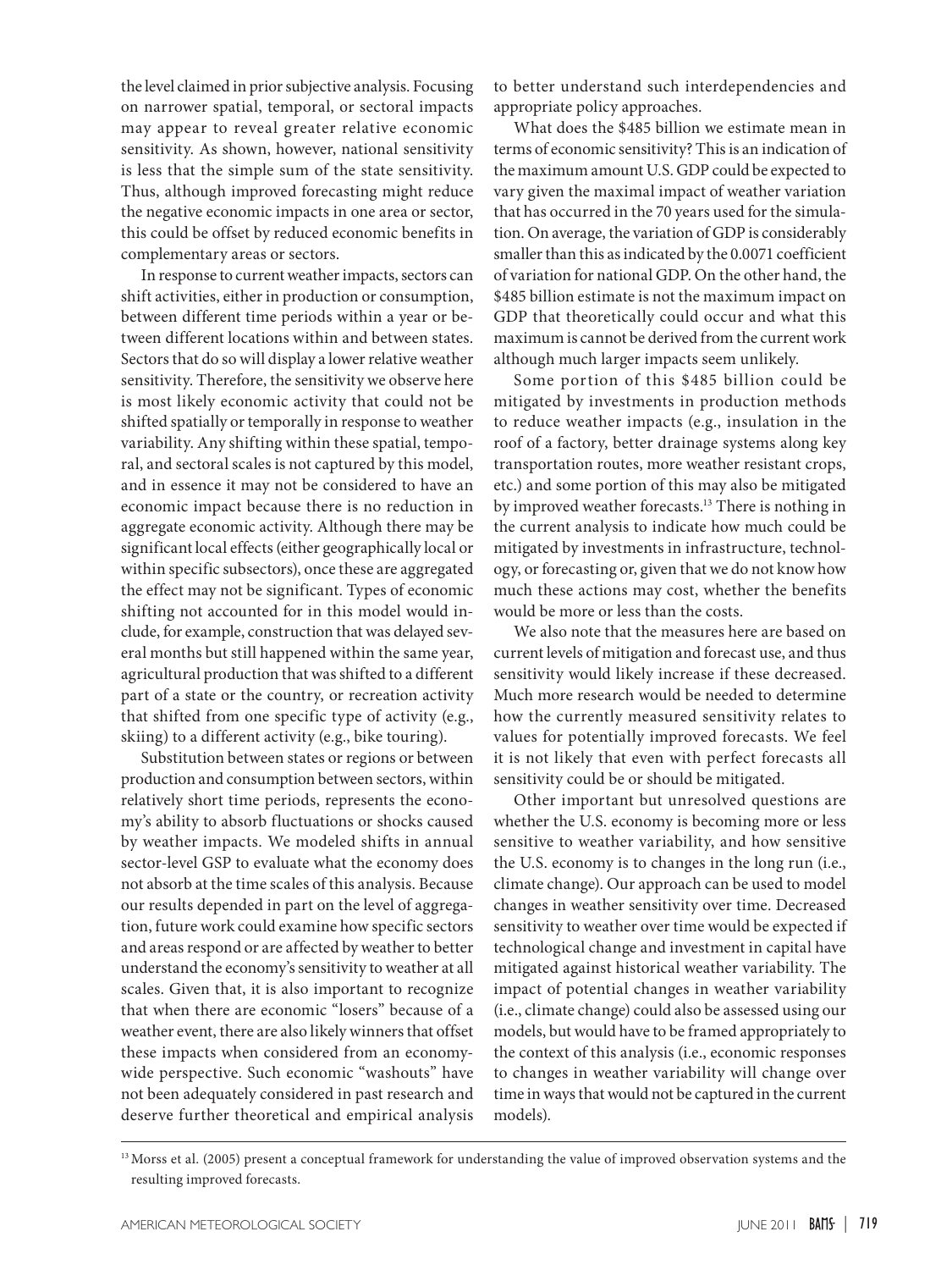the level claimed in prior subjective analysis. Focusing on narrower spatial, temporal, or sectoral impacts may appear to reveal greater relative economic sensitivity. As shown, however, national sensitivity is less that the simple sum of the state sensitivity. Thus, although improved forecasting might reduce the negative economic impacts in one area or sector, this could be offset by reduced economic benefits in complementary areas or sectors.

In response to current weather impacts, sectors can shift activities, either in production or consumption, between different time periods within a year or between different locations within and between states. Sectors that do so will display a lower relative weather sensitivity. Therefore, the sensitivity we observe here is most likely economic activity that could not be shifted spatially or temporally in response to weather variability. Any shifting within these spatial, temporal, and sectoral scales is not captured by this model, and in essence it may not be considered to have an economic impact because there is no reduction in aggregate economic activity. Although there may be significant local effects (either geographically local or within specific subsectors), once these are aggregated the effect may not be significant. Types of economic shifting not accounted for in this model would include, for example, construction that was delayed several months but still happened within the same year, agricultural production that was shifted to a different part of a state or the country, or recreation activity that shifted from one specific type of activity (e.g., skiing) to a different activity (e.g., bike touring).

Substitution between states or regions or between production and consumption between sectors, within relatively short time periods, represents the economy's ability to absorb fluctuations or shocks caused by weather impacts. We modeled shifts in annual sector-level GSP to evaluate what the economy does not absorb at the time scales of this analysis. Because our results depended in part on the level of aggregation, future work could examine how specific sectors and areas respond or are affected by weather to better understand the economy's sensitivity to weather at all scales. Given that, it is also important to recognize that when there are economic "losers" because of a weather event, there are also likely winners that offset these impacts when considered from an economywide perspective. Such economic "washouts" have not been adequately considered in past research and deserve further theoretical and empirical analysis

to better understand such interdependencies and appropriate policy approaches.

What does the \$485 billion we estimate mean in terms of economic sensitivity? This is an indication of the maximum amount U.S. GDP could be expected to vary given the maximal impact of weather variation that has occurred in the 70 years used for the simulation. On average, the variation of GDP is considerably smaller than this as indicated by the 0.0071 coefficient of variation for national GDP. On the other hand, the \$485 billion estimate is not the maximum impact on GDP that theoretically could occur and what this maximum is cannot be derived from the current work although much larger impacts seem unlikely.

Some portion of this \$485 billion could be mitigated by investments in production methods to reduce weather impacts (e.g., insulation in the roof of a factory, better drainage systems along key transportation routes, more weather resistant crops, etc.) and some portion of this may also be mitigated by improved weather forecasts.<sup>13</sup> There is nothing in the current analysis to indicate how much could be mitigated by investments in infrastructure, technology, or forecasting or, given that we do not know how much these actions may cost, whether the benefits would be more or less than the costs.

We also note that the measures here are based on current levels of mitigation and forecast use, and thus sensitivity would likely increase if these decreased. Much more research would be needed to determine how the currently measured sensitivity relates to values for potentially improved forecasts. We feel it is not likely that even with perfect forecasts all sensitivity could be or should be mitigated.

Other important but unresolved questions are whether the U.S. economy is becoming more or less sensitive to weather variability, and how sensitive the U.S. economy is to changes in the long run (i.e., climate change). Our approach can be used to model changes in weather sensitivity over time. Decreased sensitivity to weather over time would be expected if technological change and investment in capital have mitigated against historical weather variability. The impact of potential changes in weather variability (i.e., climate change) could also be assessed using our models, but would have to be framed appropriately to the context of this analysis (i.e., economic responses to changes in weather variability will change over time in ways that would not be captured in the current models).

<sup>&</sup>lt;sup>13</sup> Morss et al. (2005) present a conceptual framework for understanding the value of improved observation systems and the resulting improved forecasts.